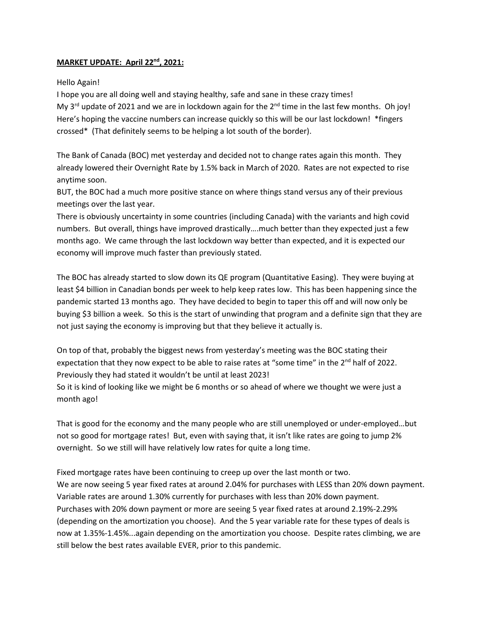## **MARKET UPDATE: April 22nd, 2021:**

## Hello Again!

I hope you are all doing well and staying healthy, safe and sane in these crazy times! My 3<sup>rd</sup> update of 2021 and we are in lockdown again for the 2<sup>nd</sup> time in the last few months. Oh joy! Here's hoping the vaccine numbers can increase quickly so this will be our last lockdown! \*fingers crossed\* (That definitely seems to be helping a lot south of the border).

The Bank of Canada (BOC) met yesterday and decided not to change rates again this month. They already lowered their Overnight Rate by 1.5% back in March of 2020. Rates are not expected to rise anytime soon.

BUT, the BOC had a much more positive stance on where things stand versus any of their previous meetings over the last year.

There is obviously uncertainty in some countries (including Canada) with the variants and high covid numbers. But overall, things have improved drastically….much better than they expected just a few months ago. We came through the last lockdown way better than expected, and it is expected our economy will improve much faster than previously stated.

The BOC has already started to slow down its QE program (Quantitative Easing). They were buying at least \$4 billion in Canadian bonds per week to help keep rates low. This has been happening since the pandemic started 13 months ago. They have decided to begin to taper this off and will now only be buying \$3 billion a week. So this is the start of unwinding that program and a definite sign that they are not just saying the economy is improving but that they believe it actually is.

On top of that, probably the biggest news from yesterday's meeting was the BOC stating their expectation that they now expect to be able to raise rates at "some time" in the  $2<sup>nd</sup>$  half of 2022. Previously they had stated it wouldn't be until at least 2023!

So it is kind of looking like we might be 6 months or so ahead of where we thought we were just a month ago!

That is good for the economy and the many people who are still unemployed or under-employed…but not so good for mortgage rates! But, even with saying that, it isn't like rates are going to jump 2% overnight. So we still will have relatively low rates for quite a long time.

Fixed mortgage rates have been continuing to creep up over the last month or two. We are now seeing 5 year fixed rates at around 2.04% for purchases with LESS than 20% down payment. Variable rates are around 1.30% currently for purchases with less than 20% down payment. Purchases with 20% down payment or more are seeing 5 year fixed rates at around 2.19%-2.29% (depending on the amortization you choose). And the 5 year variable rate for these types of deals is now at 1.35%-1.45%...again depending on the amortization you choose. Despite rates climbing, we are still below the best rates available EVER, prior to this pandemic.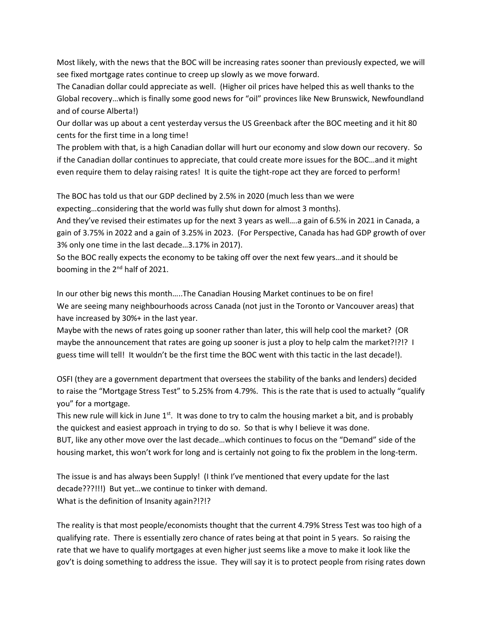Most likely, with the news that the BOC will be increasing rates sooner than previously expected, we will see fixed mortgage rates continue to creep up slowly as we move forward.

The Canadian dollar could appreciate as well. (Higher oil prices have helped this as well thanks to the Global recovery…which is finally some good news for "oil" provinces like New Brunswick, Newfoundland and of course Alberta!)

Our dollar was up about a cent yesterday versus the US Greenback after the BOC meeting and it hit 80 cents for the first time in a long time!

The problem with that, is a high Canadian dollar will hurt our economy and slow down our recovery. So if the Canadian dollar continues to appreciate, that could create more issues for the BOC…and it might even require them to delay raising rates! It is quite the tight-rope act they are forced to perform!

The BOC has told us that our GDP declined by 2.5% in 2020 (much less than we were expecting…considering that the world was fully shut down for almost 3 months).

And they've revised their estimates up for the next 3 years as well….a gain of 6.5% in 2021 in Canada, a gain of 3.75% in 2022 and a gain of 3.25% in 2023. (For Perspective, Canada has had GDP growth of over 3% only one time in the last decade…3.17% in 2017).

So the BOC really expects the economy to be taking off over the next few years…and it should be booming in the 2nd half of 2021.

In our other big news this month…..The Canadian Housing Market continues to be on fire! We are seeing many neighbourhoods across Canada (not just in the Toronto or Vancouver areas) that have increased by 30%+ in the last year.

Maybe with the news of rates going up sooner rather than later, this will help cool the market? (OR maybe the announcement that rates are going up sooner is just a ploy to help calm the market?!?!? I guess time will tell! It wouldn't be the first time the BOC went with this tactic in the last decade!).

OSFI (they are a government department that oversees the stability of the banks and lenders) decided to raise the "Mortgage Stress Test" to 5.25% from 4.79%. This is the rate that is used to actually "qualify you" for a mortgage.

This new rule will kick in June  $1^{st}$ . It was done to try to calm the housing market a bit, and is probably the quickest and easiest approach in trying to do so. So that is why I believe it was done.

BUT, like any other move over the last decade…which continues to focus on the "Demand" side of the housing market, this won't work for long and is certainly not going to fix the problem in the long-term.

The issue is and has always been Supply! (I think I've mentioned that every update for the last decade???!!!) But yet…we continue to tinker with demand. What is the definition of Insanity again?!?!?

The reality is that most people/economists thought that the current 4.79% Stress Test was too high of a qualifying rate. There is essentially zero chance of rates being at that point in 5 years. So raising the rate that we have to qualify mortgages at even higher just seems like a move to make it look like the gov't is doing something to address the issue. They will say it is to protect people from rising rates down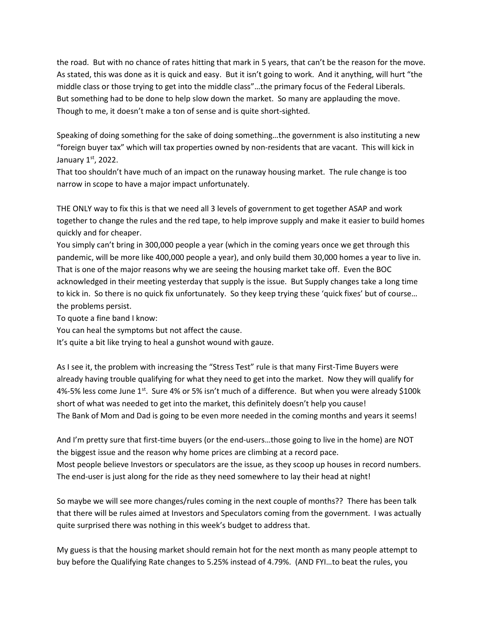the road. But with no chance of rates hitting that mark in 5 years, that can't be the reason for the move. As stated, this was done as it is quick and easy. But it isn't going to work. And it anything, will hurt "the middle class or those trying to get into the middle class"…the primary focus of the Federal Liberals. But something had to be done to help slow down the market. So many are applauding the move. Though to me, it doesn't make a ton of sense and is quite short-sighted.

Speaking of doing something for the sake of doing something…the government is also instituting a new "foreign buyer tax" which will tax properties owned by non-residents that are vacant. This will kick in January 1st, 2022.

That too shouldn't have much of an impact on the runaway housing market. The rule change is too narrow in scope to have a major impact unfortunately.

THE ONLY way to fix this is that we need all 3 levels of government to get together ASAP and work together to change the rules and the red tape, to help improve supply and make it easier to build homes quickly and for cheaper.

You simply can't bring in 300,000 people a year (which in the coming years once we get through this pandemic, will be more like 400,000 people a year), and only build them 30,000 homes a year to live in. That is one of the major reasons why we are seeing the housing market take off. Even the BOC acknowledged in their meeting yesterday that supply is the issue. But Supply changes take a long time to kick in. So there is no quick fix unfortunately. So they keep trying these 'quick fixes' but of course… the problems persist.

To quote a fine band I know:

You can heal the symptoms but not affect the cause.

It's quite a bit like trying to heal a gunshot wound with gauze.

As I see it, the problem with increasing the "Stress Test" rule is that many First-Time Buyers were already having trouble qualifying for what they need to get into the market. Now they will qualify for 4%-5% less come June  $1^{st}$ . Sure 4% or 5% isn't much of a difference. But when you were already \$100 k short of what was needed to get into the market, this definitely doesn't help you cause! The Bank of Mom and Dad is going to be even more needed in the coming months and years it seems!

And I'm pretty sure that first-time buyers (or the end-users…those going to live in the home) are NOT the biggest issue and the reason why home prices are climbing at a record pace. Most people believe Investors or speculators are the issue, as they scoop up houses in record numbers. The end-user is just along for the ride as they need somewhere to lay their head at night!

So maybe we will see more changes/rules coming in the next couple of months?? There has been talk that there will be rules aimed at Investors and Speculators coming from the government. I was actually quite surprised there was nothing in this week's budget to address that.

My guess is that the housing market should remain hot for the next month as many people attempt to buy before the Qualifying Rate changes to 5.25% instead of 4.79%. (AND FYI…to beat the rules, you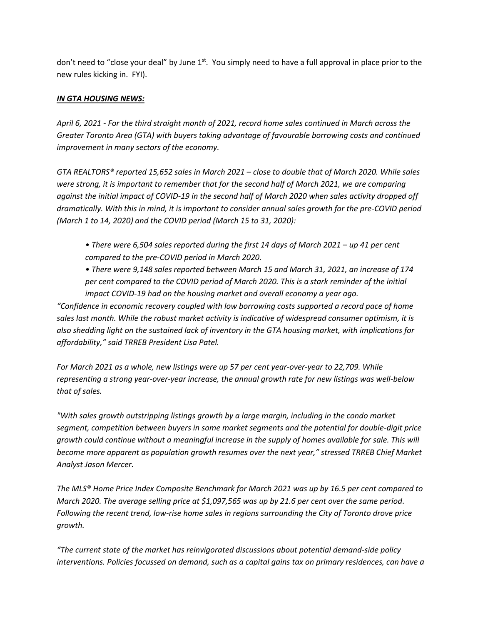don't need to "close your deal" by June  $1<sup>st</sup>$ . You simply need to have a full approval in place prior to the new rules kicking in. FYI).

## *IN GTA HOUSING NEWS:*

*April 6, 2021 - For the third straight month of 2021, record home sales continued in March across the Greater Toronto Area (GTA) with buyers taking advantage of favourable borrowing costs and continued improvement in many sectors of the economy.* 

*GTA REALTORS® reported 15,652 sales in March 2021 – close to double that of March 2020. While sales were strong, it is important to remember that for the second half of March 2021, we are comparing against the initial impact of COVID-19 in the second half of March 2020 when sales activity dropped off dramatically. With this in mind, it is important to consider annual sales growth for the pre-COVID period (March 1 to 14, 2020) and the COVID period (March 15 to 31, 2020):* 

*• There were 6,504 sales reported during the first 14 days of March 2021 – up 41 per cent compared to the pre-COVID period in March 2020.* 

*• There were 9,148 sales reported between March 15 and March 31, 2021, an increase of 174 per cent compared to the COVID period of March 2020. This is a stark reminder of the initial impact COVID-19 had on the housing market and overall economy a year ago.* 

*"Confidence in economic recovery coupled with low borrowing costs supported a record pace of home sales last month. While the robust market activity is indicative of widespread consumer optimism, it is also shedding light on the sustained lack of inventory in the GTA housing market, with implications for affordability," said TRREB President Lisa Patel.* 

*For March 2021 as a whole, new listings were up 57 per cent year-over-year to 22,709. While representing a strong year-over-year increase, the annual growth rate for new listings was well-below that of sales.* 

*"With sales growth outstripping listings growth by a large margin, including in the condo market segment, competition between buyers in some market segments and the potential for double-digit price growth could continue without a meaningful increase in the supply of homes available for sale. This will become more apparent as population growth resumes over the next year," stressed TRREB Chief Market Analyst Jason Mercer.* 

*The MLS® Home Price Index Composite Benchmark for March 2021 was up by 16.5 per cent compared to March 2020. The average selling price at \$1,097,565 was up by 21.6 per cent over the same period. Following the recent trend, low-rise home sales in regions surrounding the City of Toronto drove price growth.* 

*"The current state of the market has reinvigorated discussions about potential demand-side policy interventions. Policies focussed on demand, such as a capital gains tax on primary residences, can have a*